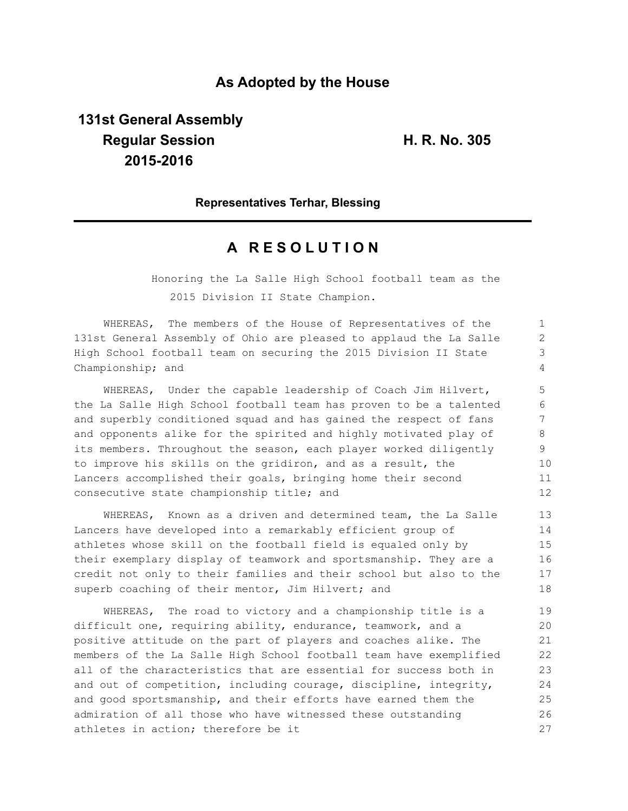## **As Adopted by the House**

# **131st General Assembly Regular Session H. R. No. 305 2015-2016**

## **Representatives Terhar, Blessing**

## **A R E S O L U T I O N**

Honoring the La Salle High School football team as the 2015 Division II State Champion.

WHEREAS, The members of the House of Representatives of the 131st General Assembly of Ohio are pleased to applaud the La Salle High School football team on securing the 2015 Division II State Championship; and

WHEREAS, Under the capable leadership of Coach Jim Hilvert, the La Salle High School football team has proven to be a talented and superbly conditioned squad and has gained the respect of fans and opponents alike for the spirited and highly motivated play of its members. Throughout the season, each player worked diligently to improve his skills on the gridiron, and as a result, the Lancers accomplished their goals, bringing home their second consecutive state championship title; and

WHEREAS, Known as a driven and determined team, the La Salle Lancers have developed into a remarkably efficient group of athletes whose skill on the football field is equaled only by their exemplary display of teamwork and sportsmanship. They are a credit not only to their families and their school but also to the superb coaching of their mentor, Jim Hilvert; and 13 14 15 16 17 18

WHEREAS, The road to victory and a championship title is a difficult one, requiring ability, endurance, teamwork, and a positive attitude on the part of players and coaches alike. The members of the La Salle High School football team have exemplified all of the characteristics that are essential for success both in and out of competition, including courage, discipline, integrity, and good sportsmanship, and their efforts have earned them the admiration of all those who have witnessed these outstanding athletes in action; therefore be it 19 20 21 22 23 24 25 26 27